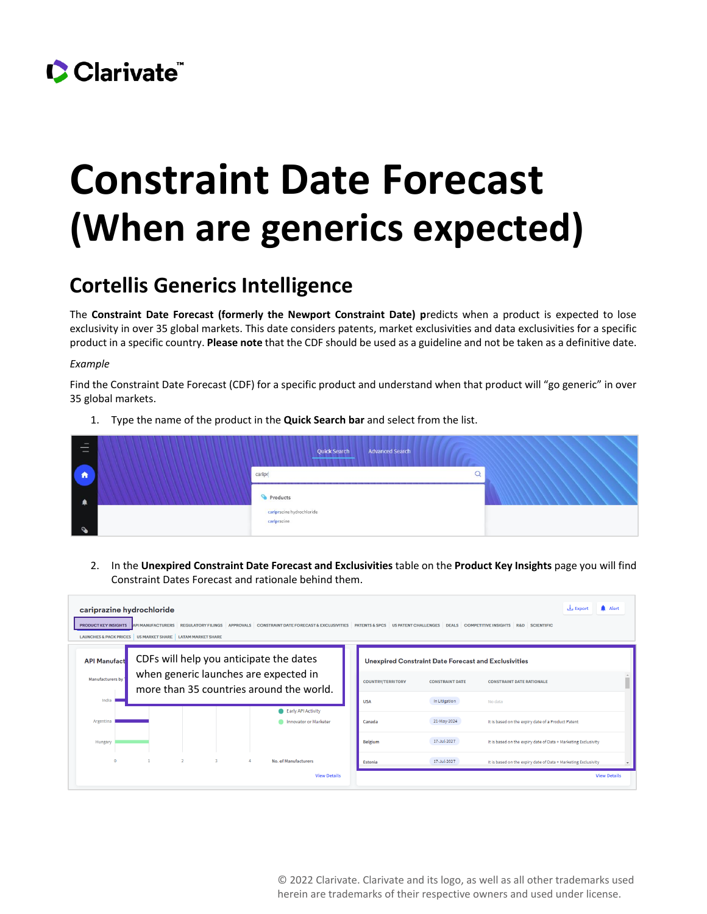

## **Constraint Date Forecast (When are generics expected)**

## **Cortellis Generics Intelligence**

The **Constraint Date Forecast (formerly the Newport Constraint Date) p**redicts when a product is expected to lose exclusivity in over 35 global markets. This date considers patents, market exclusivities and data exclusivities for a specific product in a specific country. **Please note** that the CDF should be used as a guideline and not be taken as a definitive date.

## *Example*

Find the Constraint Date Forecast (CDF) for a specific product and understand when that product will "go generic" in over 35 global markets.

1. Type the name of the product in the **Quick Search bar** and select from the list.

| $\overline{\phantom{a}}$<br>$\overline{\phantom{a}}$<br>_ |        | <b>Advanced Search</b><br>Quick Search<br><b><i><u>Property and Committee Committee Committee Committee Committee Committee Committee Committee Committee Committee</u></i></b> |  |
|-----------------------------------------------------------|--------|---------------------------------------------------------------------------------------------------------------------------------------------------------------------------------|--|
| Ħ                                                         | caripr |                                                                                                                                                                                 |  |
|                                                           |        | Products<br>cariprazine hydrochloride                                                                                                                                           |  |
|                                                           |        | cariprazine                                                                                                                                                                     |  |

2. In the **Unexpired Constraint Date Forecast and Exclusivities** table on the **Product Key Insights** page you will find Constraint Dates Forecast and rationale behind them.

| Alert<br>Export یک<br>cariprazine hydrochloride<br>REGULATORY FILINGS APPROVALS CONSTRAINT DATE FORECAST & EXCLUSIVITIES PATENTS & SPCS US PATENT CHALLENGES DEALS COMPETITIVE INSIGHTS R&D SCIENTIFIC<br><b>PRODUCT KEY INSIGHTS</b><br><b>API MANUFACTURERS</b><br>LAUNCHES & PACK PRICES US MARKET SHARE LATAM MARKET SHARE |                                                                                                                                                    |                                             |                          |                                                             |                                                                |  |
|--------------------------------------------------------------------------------------------------------------------------------------------------------------------------------------------------------------------------------------------------------------------------------------------------------------------------------|----------------------------------------------------------------------------------------------------------------------------------------------------|---------------------------------------------|--------------------------|-------------------------------------------------------------|----------------------------------------------------------------|--|
| <b>API Manufact</b>                                                                                                                                                                                                                                                                                                            | CDFs will help you anticipate the dates<br>when generic launches are expected in<br>Manufacturers by 1<br>more than 35 countries around the world. |                                             |                          | <b>Unexpired Constraint Date Forecast and Exclusivities</b> |                                                                |  |
|                                                                                                                                                                                                                                                                                                                                |                                                                                                                                                    |                                             | <b>COUNTRY/TERRITORY</b> | <b>CONSTRAINT DATE</b>                                      | <b>CONSTRAINT DATE RATIONALE</b>                               |  |
| India                                                                                                                                                                                                                                                                                                                          |                                                                                                                                                    |                                             | <b>USA</b>               | In Litigation                                               | No data                                                        |  |
| Argentina                                                                                                                                                                                                                                                                                                                      |                                                                                                                                                    | Early API Activity<br>Innovator or Marketer | Canada                   | 21-May-2024                                                 | It is based on the expiry date of a Product Patent             |  |
| Hungary                                                                                                                                                                                                                                                                                                                        |                                                                                                                                                    |                                             | Belgium                  | 17-Jul-2027                                                 | It is based on the expiry date of Data + Marketing Exclusivity |  |
|                                                                                                                                                                                                                                                                                                                                | $\overline{2}$                                                                                                                                     | No. of Manufacturers<br>$\mathbf{R}$        | Estonia                  | 17-Jul-2027                                                 | It is based on the expiry date of Data + Marketing Exclusivity |  |
|                                                                                                                                                                                                                                                                                                                                |                                                                                                                                                    | <b>View Details</b>                         |                          |                                                             | <b>View Details</b>                                            |  |

© 2022 Clarivate. Clarivate and its logo, as well as all other trademarks used herein are trademarks of their respective owners and used under license.